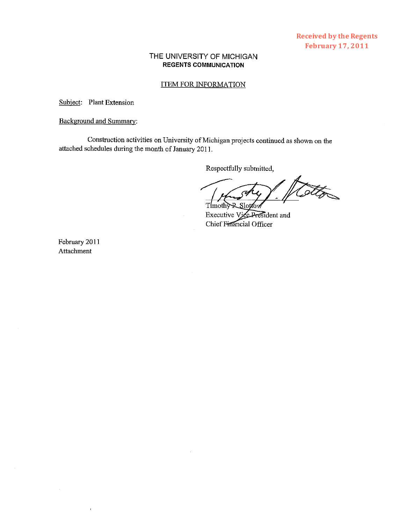## THE UNIVERSITY OF MICHIGAN **REGENTS COMMUNICATION**

#### ITEM FOR INFORMATION

Subject: Plant Extension

### Background and Summay:

Construction activities on University of Michigan projects continued as shown on the attached schedules during the month of January 201 1.

Respectfully submitted,

Timothy R Slottow

Executive Vice President and Chief Financial Officer

February 2011 Attachment

 $\overline{1}$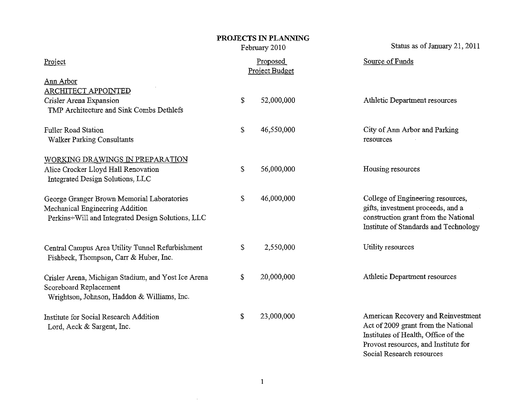|                                                                                                                                    |                            | PROJECTS IN PLANNING<br>February 2010 | Status as of January 21, 2011                                                                                                                                                         |
|------------------------------------------------------------------------------------------------------------------------------------|----------------------------|---------------------------------------|---------------------------------------------------------------------------------------------------------------------------------------------------------------------------------------|
| Project                                                                                                                            | Proposed<br>Project Budget |                                       | Source of Funds                                                                                                                                                                       |
| <b>Ann Arbor</b><br><b>ARCHITECT APPOINTED</b><br>Crisler Arena Expansion<br>TMP Architecture and Sink Combs Dethlefs              | \$                         | 52,000,000                            | Athletic Department resources                                                                                                                                                         |
| <b>Fuller Road Station</b><br><b>Walker Parking Consultants</b>                                                                    | \$                         | 46,550,000                            | City of Ann Arbor and Parking<br>resources                                                                                                                                            |
| WORKING DRAWINGS IN PREPARATION<br>Alice Crocker Lloyd Hall Renovation<br>Integrated Design Solutions, LLC                         | \$                         | 56,000,000                            | Housing resources                                                                                                                                                                     |
| George Granger Brown Memorial Laboratories<br>Mechanical Engineering Addition<br>Perkins+Will and Integrated Design Solutions, LLC | \$                         | 46,000,000                            | College of Engineering resources,<br>gifts, investment proceeds, and a<br>construction grant from the National<br>Institute of Standards and Technology                               |
| Central Campus Area Utility Tunnel Refurbishment<br>Fishbeck, Thompson, Carr & Huber, Inc.                                         | \$                         | 2,550,000                             | Utility resources                                                                                                                                                                     |
| Crisler Arena, Michigan Stadium, and Yost Ice Arena<br>Scoreboard Replacement<br>Wrightson, Johnson, Haddon & Williams, Inc.       | \$                         | 20,000,000                            | Athletic Department resources                                                                                                                                                         |
| Institute for Social Research Addition<br>Lord, Aeck & Sargent, Inc.                                                               | \$                         | 23,000,000                            | American Recovery and Reinvestment<br>Act of 2009 grant from the National<br>Institutes of Health, Office of the<br>Provost resources, and Institute for<br>Social Research resources |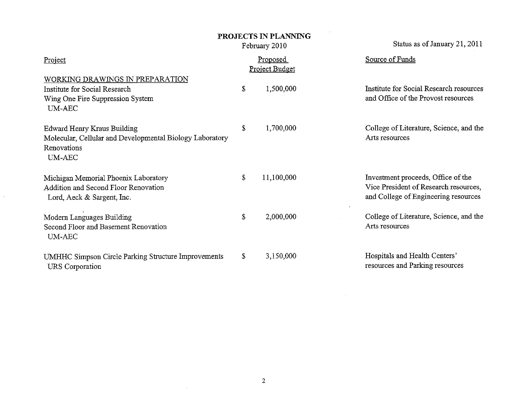# PROJECTS IN PLANNING

February 2010

Status as of January 21, 2011

| Project                                                                                                                 |    | <u>Proposed</u><br>Project Budget | Source of Funds                                                                                                     |
|-------------------------------------------------------------------------------------------------------------------------|----|-----------------------------------|---------------------------------------------------------------------------------------------------------------------|
| WORKING DRAWINGS IN PREPARATION<br>Institute for Social Research<br>Wing One Fire Suppression System<br>UM-AEC          | S  | 1,500,000                         | Institute for Social Research resources<br>and Office of the Provost resources                                      |
| <b>Edward Henry Kraus Building</b><br>Molecular, Cellular and Developmental Biology Laboratory<br>Renovations<br>UM-AEC | \$ | 1,700,000                         | College of Literature, Science, and the<br>Arts resources                                                           |
| Michigan Memorial Phoenix Laboratory<br>Addition and Second Floor Renovation<br>Lord, Aeck & Sargent, Inc.              | \$ | 11,100,000                        | Investment proceeds, Office of the<br>Vice President of Research resources,<br>and College of Engineering resources |
| Modern Languages Building<br>Second Floor and Basement Renovation<br>UM-AEC                                             | \$ | 2,000,000                         | College of Literature, Science, and the<br>Arts resources                                                           |
| UMHHC Simpson Circle Parking Structure Improvements<br>URS Corporation                                                  | \$ | 3,150,000                         | Hospitals and Health Centers'<br>resources and Parking resources                                                    |

 $\sim$ 

 $\mathcal{L}^{\mathcal{L}}(\mathbf{A})$  and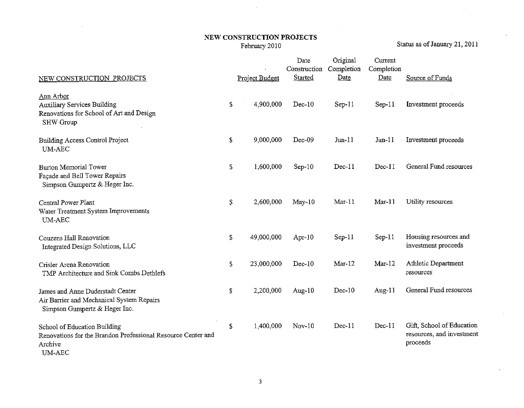# NEW CONSTRUCTION PROJECTS<br>February 2010

Status as of January 21, 2011

 $\sim$ 

 $\Delta$ 

| NEW CONSTRUCTION PROJECTS                                                                                                | Project Budget   | Date<br>Construction<br>Started | Original<br>Completion<br>Date | Current<br>Completion<br>Date | Source of Funds                                                    |
|--------------------------------------------------------------------------------------------------------------------------|------------------|---------------------------------|--------------------------------|-------------------------------|--------------------------------------------------------------------|
| Ann Arbor<br><b>Auxiliary Services Building</b><br>Renovations for School of Art and Design<br><b>SHW Group</b>          | \$<br>4,900,000  | $Dec-10$                        | $Sep-11$                       | $Sep-11$                      | Investment proceeds                                                |
| Building Access Control Project<br><b>UM-AEC</b>                                                                         | \$<br>9,000,000  | $Dec-09$                        | $Jun-11$                       | $Jun-11$                      | Investment proceeds                                                |
| Burton Memorial Tower<br>Façade and Bell Tower Repairs<br>Simpson Gumpertz & Heger Inc.                                  | \$<br>1,600,000  | $Sep-10$                        | $Dec-11$                       | $Dec-11$                      | General Fund resources                                             |
| Central Power Plant<br>Water Treatment System Improvements<br><b>UM-AEC</b>                                              | \$<br>2,600,000  | $May-10$                        | $Mar-11$                       | $Mar-11$                      | Utility resources                                                  |
| Couzens Hall Renovation<br>Integrated Design Solutions, LLC                                                              | \$<br>49,000,000 | Apr $-10$                       | $Sep-11$                       | $Sep-11$                      | Housing resources and<br>investment proceeds                       |
| Crisler Arena Renovation<br>TMP Architecture and Sink Combs Dethlefs                                                     | \$<br>23,000,000 | $Dec-10$                        | $Mar-12$                       | $Mar-12$                      | Athletic Department<br>resources                                   |
| James and Anne Duderstadt Center<br>Air Barrier and Mechanical System Repairs<br>Simpson Gumpertz & Heger Inc.           | \$<br>2,200,000  | Aug- $10$                       | $Dec-10$                       | Aug-11                        | General Fund resources                                             |
| School of Education Building<br>Renovations for the Brandon Professional Resource Center and<br>Archive<br><b>UM-AEC</b> | \$<br>1,400,000  | Nov-10                          | $Dec-11$                       | $Dec-11$                      | Gift, School of Education<br>resources, and investment<br>proceeds |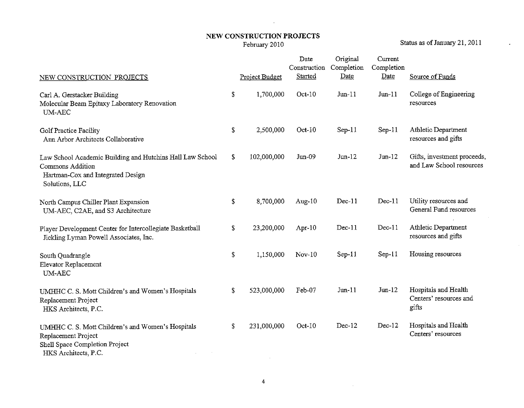## NEW CONSTRUCTION PROJECTS February 2010

 $\mathcal{L}^{\text{max}}_{\text{max}}$ 

Status as of January 21, 2011

 $\mathcal{L}^{\pm}$ 

| NEW CONSTRUCTION PROJECTS                                                                                                            |              | Project Budget | Date<br>Construction<br>Started | Original<br>Completion<br>Date | Current<br>Completion<br>Date | Source of Funds                                         |
|--------------------------------------------------------------------------------------------------------------------------------------|--------------|----------------|---------------------------------|--------------------------------|-------------------------------|---------------------------------------------------------|
| Carl A. Gerstacker Building<br>Molecular Beam Epitaxy Laboratory Renovation<br><b>UM-AEC</b>                                         | \$           | 1,700,000      | Oct-10                          | $Jun-11$                       | $Jun-11$                      | College of Engineering<br>resources                     |
| <b>Golf Practice Facility</b><br>Ann Arbor Architects Collaborative                                                                  | \$           | 2,500,000      | $Oct-10$                        | $Sep-11$                       | $Sep-11$                      | Athletic Department<br>resources and gifts              |
| Law School Academic Building and Hutchins Hall Law School<br>Commons Addition<br>Hartman-Cox and Integrated Design<br>Solutions, LLC | $\mathbb{S}$ | 102,000,000    | $Jun-09$                        | $Jun-12$                       | $Jun-12$                      | Gifts, investment proceeds,<br>and Law School resources |
| North Campus Chiller Plant Expansion<br>UM-AEC, C2AE, and S3 Architecture                                                            | \$           | 8.700.000      | Aug- $10$                       | $Dec-11$                       | $Dec-11$                      | Utility resources and<br>General Fund resources         |
| Player Development Center for Intercollegiate Basketball<br>Jickling Lyman Powell Associates, Inc.                                   | \$           | 23,200,000     | Apr- $10$                       | $Dec-11$                       | Dec-11                        | Athletic Department<br>resources and gifts              |
| South Quadrangle<br>Elevator Replacement<br><b>UM-AEC</b>                                                                            | \$           | 1,150,000      | $Nov-10$                        | $Sep-11$                       | $Sep-11$                      | Housing resources                                       |
| UMHHC C. S. Mott Children's and Women's Hospitals<br>Replacement Project<br>HKS Architects, P.C.                                     | \$           | 523,000,000    | Feb-07                          | $Jun-11$                       | $J$ un- $12$                  | Hospitals and Health<br>Centers' resources and<br>gifts |
| UMHHC C. S. Mott Children's and Women's Hospitals<br>Replacement Project<br>Shell Space Completion Project<br>HKS Architects, P.C.   | \$           | 231,000,000    | $Oct-10$                        | $Dec-12$                       | $Dec-12$                      | Hospitals and Health<br>Centers' resources              |

 $\sim 10^{-11}$